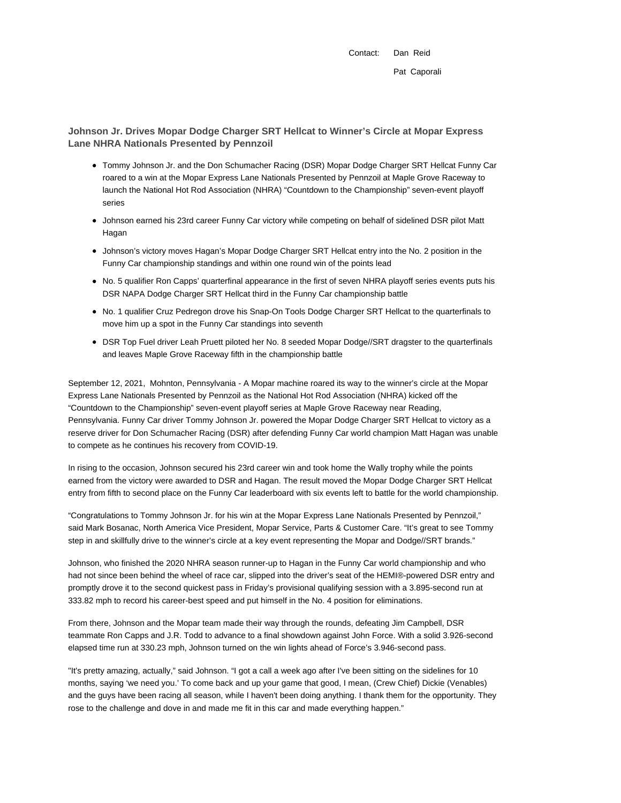Contact: Dan Reid Pat Caporali

**Johnson Jr. Drives Mopar Dodge Charger SRT Hellcat to Winner's Circle at Mopar Express Lane NHRA Nationals Presented by Pennzoil**

- Tommy Johnson Jr. and the Don Schumacher Racing (DSR) Mopar Dodge Charger SRT Hellcat Funny Car roared to a win at the Mopar Express Lane Nationals Presented by Pennzoil at Maple Grove Raceway to launch the National Hot Rod Association (NHRA) "Countdown to the Championship" seven-event playoff series
- Johnson earned his 23rd career Funny Car victory while competing on behalf of sidelined DSR pilot Matt Hagan
- Johnson's victory moves Hagan's Mopar Dodge Charger SRT Hellcat entry into the No. 2 position in the Funny Car championship standings and within one round win of the points lead
- No. 5 qualifier Ron Capps' quarterfinal appearance in the first of seven NHRA playoff series events puts his DSR NAPA Dodge Charger SRT Hellcat third in the Funny Car championship battle
- No. 1 qualifier Cruz Pedregon drove his Snap-On Tools Dodge Charger SRT Hellcat to the quarterfinals to move him up a spot in the Funny Car standings into seventh
- DSR Top Fuel driver Leah Pruett piloted her No. 8 seeded Mopar Dodge//SRT dragster to the quarterfinals and leaves Maple Grove Raceway fifth in the championship battle

September 12, 2021, Mohnton, Pennsylvania - A Mopar machine roared its way to the winner's circle at the Mopar Express Lane Nationals Presented by Pennzoil as the National Hot Rod Association (NHRA) kicked off the "Countdown to the Championship" seven-event playoff series at Maple Grove Raceway near Reading, Pennsylvania. Funny Car driver Tommy Johnson Jr. powered the Mopar Dodge Charger SRT Hellcat to victory as a reserve driver for Don Schumacher Racing (DSR) after defending Funny Car world champion Matt Hagan was unable to compete as he continues his recovery from COVID-19.

In rising to the occasion, Johnson secured his 23rd career win and took home the Wally trophy while the points earned from the victory were awarded to DSR and Hagan. The result moved the Mopar Dodge Charger SRT Hellcat entry from fifth to second place on the Funny Car leaderboard with six events left to battle for the world championship.

"Congratulations to Tommy Johnson Jr. for his win at the Mopar Express Lane Nationals Presented by Pennzoil," said Mark Bosanac, North America Vice President, Mopar Service, Parts & Customer Care. "It's great to see Tommy step in and skillfully drive to the winner's circle at a key event representing the Mopar and Dodge//SRT brands."

Johnson, who finished the 2020 NHRA season runner-up to Hagan in the Funny Car world championship and who had not since been behind the wheel of race car, slipped into the driver's seat of the HEMI®-powered DSR entry and promptly drove it to the second quickest pass in Friday's provisional qualifying session with a 3.895-second run at 333.82 mph to record his career-best speed and put himself in the No. 4 position for eliminations.

From there, Johnson and the Mopar team made their way through the rounds, defeating Jim Campbell, DSR teammate Ron Capps and J.R. Todd to advance to a final showdown against John Force. With a solid 3.926-second elapsed time run at 330.23 mph, Johnson turned on the win lights ahead of Force's 3.946-second pass.

"It's pretty amazing, actually," said Johnson. "I got a call a week ago after I've been sitting on the sidelines for 10 months, saying 'we need you.' To come back and up your game that good, I mean, (Crew Chief) Dickie (Venables) and the guys have been racing all season, while I haven't been doing anything. I thank them for the opportunity. They rose to the challenge and dove in and made me fit in this car and made everything happen."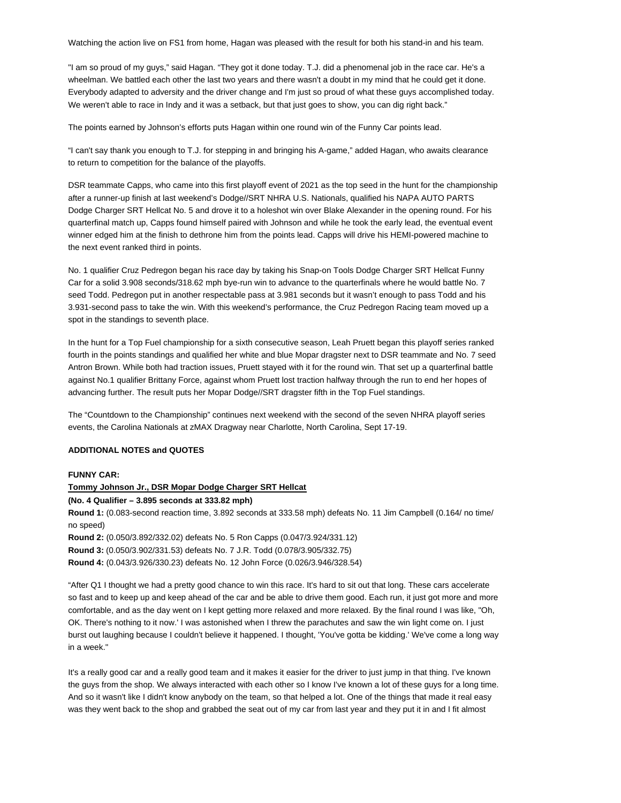Watching the action live on FS1 from home, Hagan was pleased with the result for both his stand-in and his team.

"I am so proud of my guys," said Hagan. "They got it done today. T.J. did a phenomenal job in the race car. He's a wheelman. We battled each other the last two years and there wasn't a doubt in my mind that he could get it done. Everybody adapted to adversity and the driver change and I'm just so proud of what these guys accomplished today. We weren't able to race in Indy and it was a setback, but that just goes to show, you can dig right back."

The points earned by Johnson's efforts puts Hagan within one round win of the Funny Car points lead.

"I can't say thank you enough to T.J. for stepping in and bringing his A-game," added Hagan, who awaits clearance to return to competition for the balance of the playoffs.

DSR teammate Capps, who came into this first playoff event of 2021 as the top seed in the hunt for the championship after a runner-up finish at last weekend's Dodge//SRT NHRA U.S. Nationals, qualified his NAPA AUTO PARTS Dodge Charger SRT Hellcat No. 5 and drove it to a holeshot win over Blake Alexander in the opening round. For his quarterfinal match up, Capps found himself paired with Johnson and while he took the early lead, the eventual event winner edged him at the finish to dethrone him from the points lead. Capps will drive his HEMI-powered machine to the next event ranked third in points.

No. 1 qualifier Cruz Pedregon began his race day by taking his Snap-on Tools Dodge Charger SRT Hellcat Funny Car for a solid 3.908 seconds/318.62 mph bye-run win to advance to the quarterfinals where he would battle No. 7 seed Todd. Pedregon put in another respectable pass at 3.981 seconds but it wasn't enough to pass Todd and his 3.931-second pass to take the win. With this weekend's performance, the Cruz Pedregon Racing team moved up a spot in the standings to seventh place.

In the hunt for a Top Fuel championship for a sixth consecutive season, Leah Pruett began this playoff series ranked fourth in the points standings and qualified her white and blue Mopar dragster next to DSR teammate and No. 7 seed Antron Brown. While both had traction issues, Pruett stayed with it for the round win. That set up a quarterfinal battle against No.1 qualifier Brittany Force, against whom Pruett lost traction halfway through the run to end her hopes of advancing further. The result puts her Mopar Dodge//SRT dragster fifth in the Top Fuel standings.

The "Countdown to the Championship" continues next weekend with the second of the seven NHRA playoff series events, the Carolina Nationals at zMAX Dragway near Charlotte, North Carolina, Sept 17-19.

### **ADDITIONAL NOTES and QUOTES**

### **FUNNY CAR:**

**Tommy Johnson Jr., DSR Mopar Dodge Charger SRT Hellcat**

**(No. 4 Qualifier – 3.895 seconds at 333.82 mph)**

**Round 1:** (0.083-second reaction time, 3.892 seconds at 333.58 mph) defeats No. 11 Jim Campbell (0.164/ no time/ no speed)

**Round 2:** (0.050/3.892/332.02) defeats No. 5 Ron Capps (0.047/3.924/331.12)

**Round 3:** (0.050/3.902/331.53) defeats No. 7 J.R. Todd (0.078/3.905/332.75)

**Round 4:** (0.043/3.926/330.23) defeats No. 12 John Force (0.026/3.946/328.54)

"After Q1 I thought we had a pretty good chance to win this race. It's hard to sit out that long. These cars accelerate so fast and to keep up and keep ahead of the car and be able to drive them good. Each run, it just got more and more comfortable, and as the day went on I kept getting more relaxed and more relaxed. By the final round I was like, "Oh, OK. There's nothing to it now.' I was astonished when I threw the parachutes and saw the win light come on. I just burst out laughing because I couldn't believe it happened. I thought, 'You've gotta be kidding.' We've come a long way in a week."

It's a really good car and a really good team and it makes it easier for the driver to just jump in that thing. I've known the guys from the shop. We always interacted with each other so I know I've known a lot of these guys for a long time. And so it wasn't like I didn't know anybody on the team, so that helped a lot. One of the things that made it real easy was they went back to the shop and grabbed the seat out of my car from last year and they put it in and I fit almost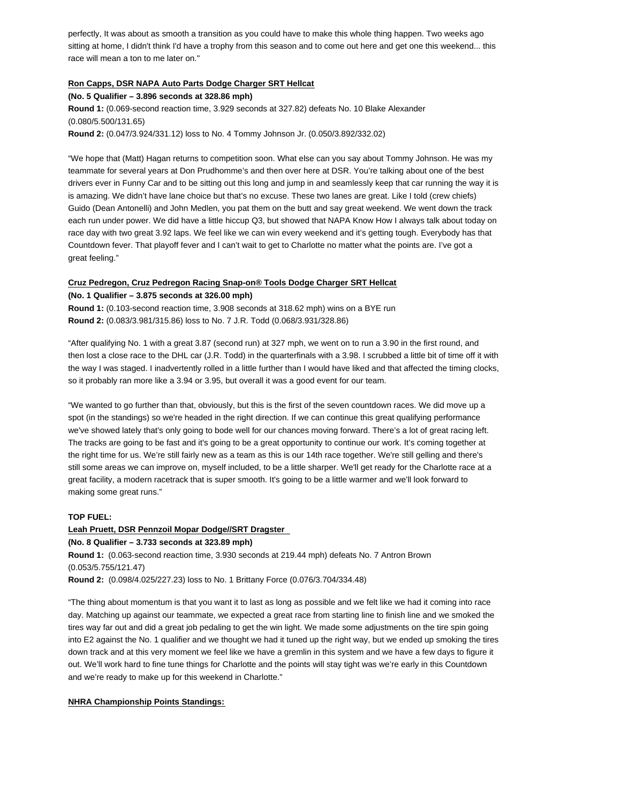perfectly, It was about as smooth a transition as you could have to make this whole thing happen. Two weeks ago sitting at home, I didn't think I'd have a trophy from this season and to come out here and get one this weekend... this race will mean a ton to me later on."

### **Ron Capps, DSR NAPA Auto Parts Dodge Charger SRT Hellcat**

**(No. 5 Qualifier – 3.896 seconds at 328.86 mph) Round 1:** (0.069-second reaction time, 3.929 seconds at 327.82) defeats No. 10 Blake Alexander (0.080/5.500/131.65) **Round 2:** (0.047/3.924/331.12) loss to No. 4 Tommy Johnson Jr. (0.050/3.892/332.02)

"We hope that (Matt) Hagan returns to competition soon. What else can you say about Tommy Johnson. He was my teammate for several years at Don Prudhomme's and then over here at DSR. You're talking about one of the best drivers ever in Funny Car and to be sitting out this long and jump in and seamlessly keep that car running the way it is is amazing. We didn't have lane choice but that's no excuse. These two lanes are great. Like I told (crew chiefs) Guido (Dean Antonelli) and John Medlen, you pat them on the butt and say great weekend. We went down the track each run under power. We did have a little hiccup Q3, but showed that NAPA Know How I always talk about today on race day with two great 3.92 laps. We feel like we can win every weekend and it's getting tough. Everybody has that Countdown fever. That playoff fever and I can't wait to get to Charlotte no matter what the points are. I've got a great feeling."

### **Cruz Pedregon, Cruz Pedregon Racing Snap-on® Tools Dodge Charger SRT Hellcat**

**(No. 1 Qualifier – 3.875 seconds at 326.00 mph)**

**Round 1:** (0.103-second reaction time, 3.908 seconds at 318.62 mph) wins on a BYE run **Round 2:** (0.083/3.981/315.86) loss to No. 7 J.R. Todd (0.068/3.931/328.86)

"After qualifying No. 1 with a great 3.87 (second run) at 327 mph, we went on to run a 3.90 in the first round, and then lost a close race to the DHL car (J.R. Todd) in the quarterfinals with a 3.98. I scrubbed a little bit of time off it with the way I was staged. I inadvertently rolled in a little further than I would have liked and that affected the timing clocks, so it probably ran more like a 3.94 or 3.95, but overall it was a good event for our team.

"We wanted to go further than that, obviously, but this is the first of the seven countdown races. We did move up a spot (in the standings) so we're headed in the right direction. If we can continue this great qualifying performance we've showed lately that's only going to bode well for our chances moving forward. There's a lot of great racing left. The tracks are going to be fast and it's going to be a great opportunity to continue our work. It's coming together at the right time for us. We're still fairly new as a team as this is our 14th race together. We're still gelling and there's still some areas we can improve on, myself included, to be a little sharper. We'll get ready for the Charlotte race at a great facility, a modern racetrack that is super smooth. It's going to be a little warmer and we'll look forward to making some great runs."

## **TOP FUEL:**

#### **Leah Pruett, DSR Pennzoil Mopar Dodge//SRT Dragster**

**(No. 8 Qualifier – 3.733 seconds at 323.89 mph)**

**Round 1:** (0.063-second reaction time, 3.930 seconds at 219.44 mph) defeats No. 7 Antron Brown (0.053/5.755/121.47)

**Round 2:** (0.098/4.025/227.23) loss to No. 1 Brittany Force (0.076/3.704/334.48)

"The thing about momentum is that you want it to last as long as possible and we felt like we had it coming into race day. Matching up against our teammate, we expected a great race from starting line to finish line and we smoked the tires way far out and did a great job pedaling to get the win light. We made some adjustments on the tire spin going into E2 against the No. 1 qualifier and we thought we had it tuned up the right way, but we ended up smoking the tires down track and at this very moment we feel like we have a gremlin in this system and we have a few days to figure it out. We'll work hard to fine tune things for Charlotte and the points will stay tight was we're early in this Countdown and we're ready to make up for this weekend in Charlotte."

### **NHRA Championship Points Standings:**